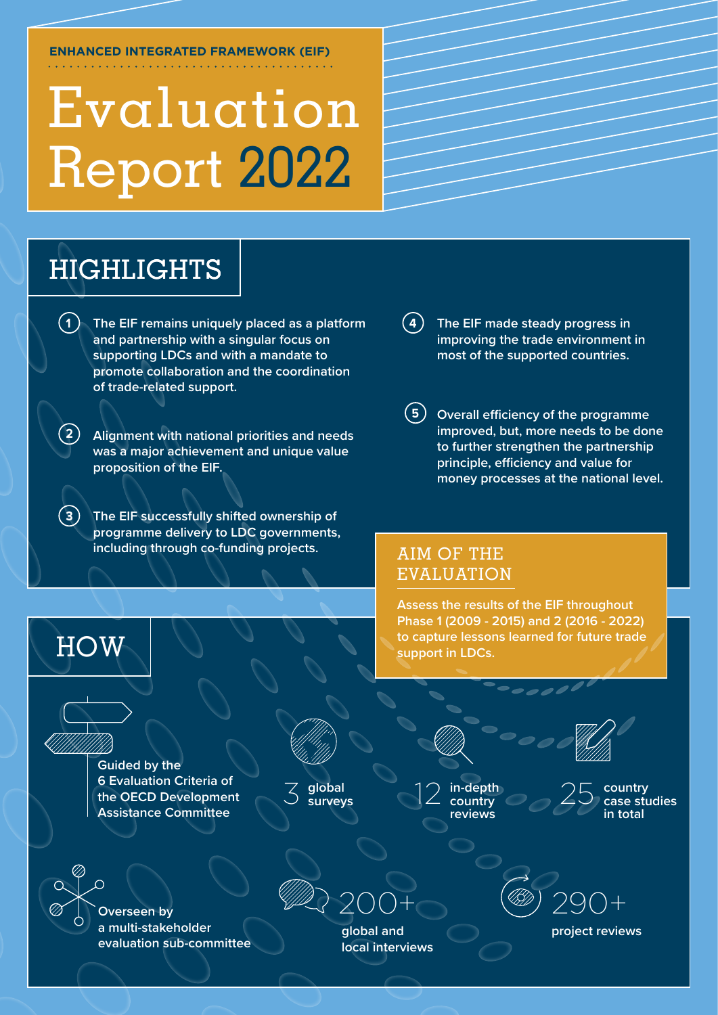#### **ENHANCED INTEGRATED FRAMEWORK (EIF)**

# Evaluation Report 2022

# HIGHLIGHTS

- **1 4 The EIF remains uniquely placed as a platform and partnership with a singular focus on supporting LDCs and with a mandate to promote collaboration and the coordination of trade-related support.**
- **2 Alignment with national priorities and needs was a major achievement and unique value proposition of the EIF.**
- **3 The EIF successfully shifted ownership of programme delivery to LDC governments, including through co-funding projects.**
- **The EIF made steady progress in improving the trade environment in most of the supported countries.**
- **5 Overall efficiency of the programme improved, but, more needs to be done to further strengthen the partnership**  principle, efficiency and value for **money processes at the national level.**

# AIM OF THE EVALUATION

**Assess the results of the EIF throughout Phase 1 (2009 - 2015) and 2 (2016 - 2022) to capture lessons learned for future trade support in LDCs.**

**Guided by the 6 Evaluation Criteria of the OECD Development Assistance Committee** 



**global surveys** 3



12 **in-depth** 25 **country reviews**



**country case studies in total** 



**HOW** 

**Overseen by a multi-stakeholder evaluation sub-committee**



**global and project reviews local interviews**

200+ 290+